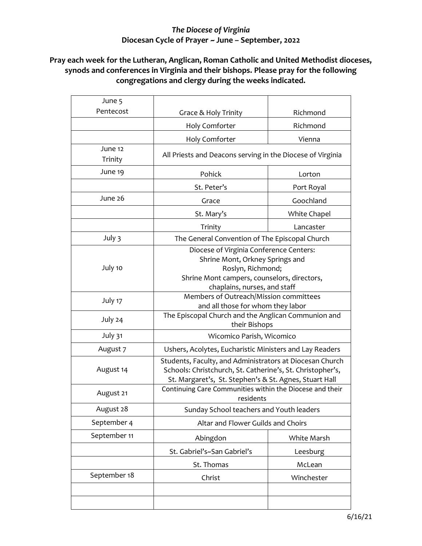## *The Diocese of Virginia* **Diocesan Cycle of Prayer ~ June – September, 2022**

## **Pray each week for the Lutheran, Anglican, Roman Catholic and United Methodist dioceses, synods and conferences in Virginia and their bishops. Please pray for the following congregations and clergy during the weeks indicated.**

| June 5             |                                                                                                                                                                                  |              |
|--------------------|----------------------------------------------------------------------------------------------------------------------------------------------------------------------------------|--------------|
| Pentecost          | Grace & Holy Trinity                                                                                                                                                             | Richmond     |
|                    | <b>Holy Comforter</b>                                                                                                                                                            | Richmond     |
|                    | Holy Comforter                                                                                                                                                                   | Vienna       |
| June 12<br>Trinity | All Priests and Deacons serving in the Diocese of Virginia                                                                                                                       |              |
| June 19            | Pohick                                                                                                                                                                           | Lorton       |
|                    | St. Peter's                                                                                                                                                                      | Port Royal   |
| June 26            | Grace                                                                                                                                                                            | Goochland    |
|                    | St. Mary's                                                                                                                                                                       | White Chapel |
|                    | Trinity                                                                                                                                                                          | Lancaster    |
| July 3             | The General Convention of The Episcopal Church                                                                                                                                   |              |
| July 10            | Diocese of Virginia Conference Centers:<br>Shrine Mont, Orkney Springs and<br>Roslyn, Richmond;<br>Shrine Mont campers, counselors, directors,<br>chaplains, nurses, and staff   |              |
| July 17            | Members of Outreach/Mission committees<br>and all those for whom they labor                                                                                                      |              |
| July 24            | The Episcopal Church and the Anglican Communion and<br>their Bishops                                                                                                             |              |
| July 31            | Wicomico Parish, Wicomico                                                                                                                                                        |              |
| August 7           | Ushers, Acolytes, Eucharistic Ministers and Lay Readers                                                                                                                          |              |
| August 14          | Students, Faculty, and Administrators at Diocesan Church<br>Schools: Christchurch, St. Catherine's, St. Christopher's,<br>St. Margaret's, St. Stephen's & St. Agnes, Stuart Hall |              |
| August 21          | Continuing Care Communities within the Diocese and their<br>residents                                                                                                            |              |
| August 28          | Sunday School teachers and Youth leaders                                                                                                                                         |              |
| September 4        | Altar and Flower Guilds and Choirs                                                                                                                                               |              |
| September 11       | Abingdon                                                                                                                                                                         | White Marsh  |
|                    | St. Gabriel's~San Gabriel's                                                                                                                                                      | Leesburg     |
|                    | St. Thomas                                                                                                                                                                       | McLean       |
| September 18       | Christ                                                                                                                                                                           | Winchester   |
|                    |                                                                                                                                                                                  |              |
|                    |                                                                                                                                                                                  |              |